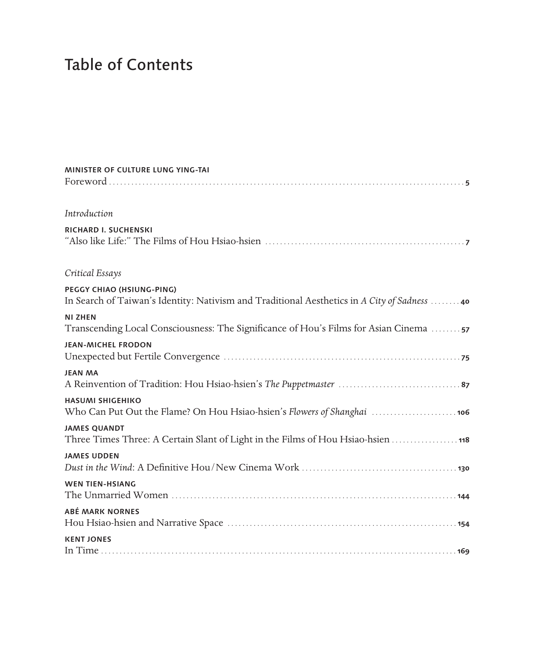## Table of Contents

| MINISTER OF CULTURE LUNG YING-TAI                                                                                         |
|---------------------------------------------------------------------------------------------------------------------------|
| Introduction                                                                                                              |
| RICHARD I. SUCHENSKI                                                                                                      |
| Critical Essays                                                                                                           |
| PEGGY CHIAO (HSIUNG-PING)<br>In Search of Taiwan's Identity: Nativism and Traditional Aesthetics in A City of Sadness  40 |
| <b>NI ZHEN</b><br>Transcending Local Consciousness: The Significance of Hou's Films for Asian Cinema                      |
| <b>JEAN-MICHEL FRODON</b>                                                                                                 |
| <b>JEAN MA</b>                                                                                                            |
| <b>HASUMI SHIGEHIKO</b><br>Who Can Put Out the Flame? On Hou Hsiao-hsien's Flowers of Shanghai  106                       |
| <b>JAMES QUANDT</b><br>Three Times Three: A Certain Slant of Light in the Films of Hou Hsiao-hsien  118                   |
| <b>JAMES UDDEN</b>                                                                                                        |
| <b>WEN TIEN-HSIANG</b>                                                                                                    |
| <b>ABÉ MARK NORNES</b>                                                                                                    |
| <b>KENT JONES</b>                                                                                                         |